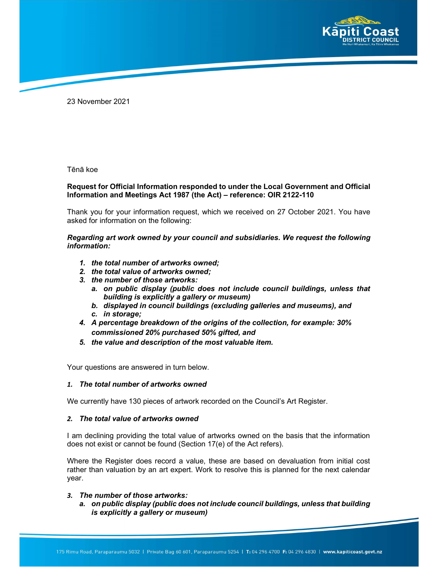

23 November 2021

Tēnā koe

### Request for Official Information responded to under the Local Government and Official Information and Meetings Act 1987 (the Act) – reference: OIR 2122-110

Thank you for your information request, which we received on 27 October 2021. You have asked for information on the following:

Regarding art work owned by your council and subsidiaries. We request the following information:

- 1. the total number of artworks owned;
- 2. the total value of artworks owned;
- 3. the number of those artworks:
	- a. on public display (public does not include council buildings, unless that building is explicitly a gallery or museum)
	- b. displayed in council buildings (excluding galleries and museums), and
	- c. in storage;
- 4. A percentage breakdown of the origins of the collection, for example: 30% commissioned 20% purchased 50% gifted, and
- 5. the value and description of the most valuable item.

Your questions are answered in turn below.

#### 1. The total number of artworks owned

We currently have 130 pieces of artwork recorded on the Council's Art Register.

#### 2. The total value of artworks owned

I am declining providing the total value of artworks owned on the basis that the information does not exist or cannot be found (Section 17(e) of the Act refers).

Where the Register does record a value, these are based on devaluation from initial cost rather than valuation by an art expert. Work to resolve this is planned for the next calendar year.

#### 3. The number of those artworks:

a. on public display (public does not include council buildings, unless that building is explicitly a gallery or museum)